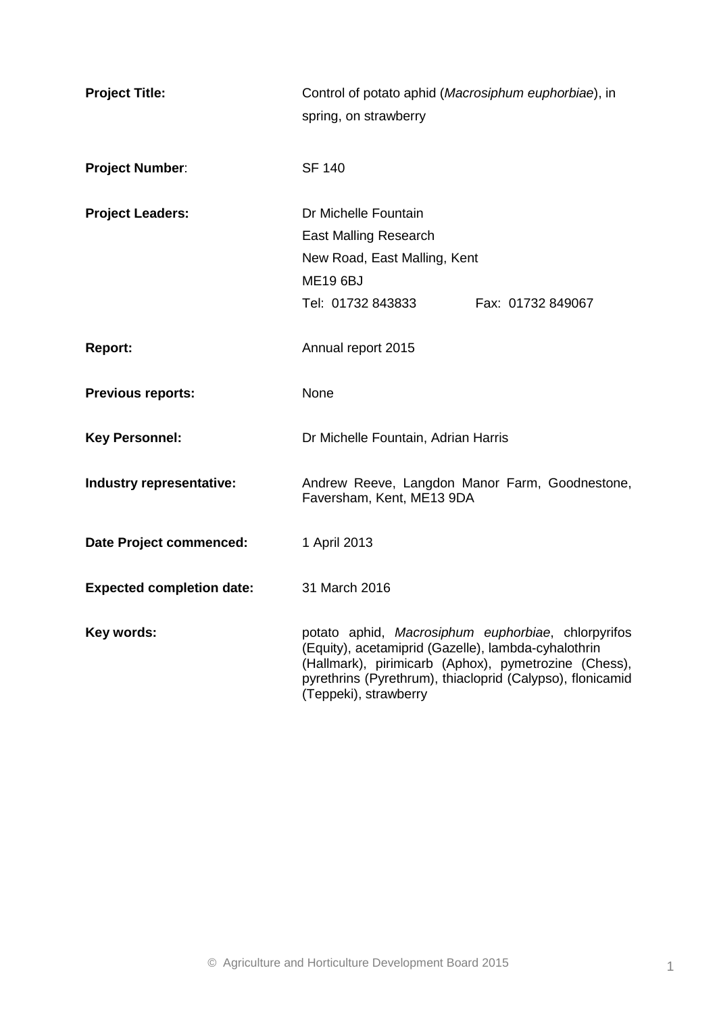| <b>Project Title:</b>            | Control of potato aphid (Macrosiphum euphorbiae), in<br>spring, on strawberry                                                                                                                                                                           |  |  |  |  |
|----------------------------------|---------------------------------------------------------------------------------------------------------------------------------------------------------------------------------------------------------------------------------------------------------|--|--|--|--|
| <b>Project Number:</b>           | <b>SF 140</b>                                                                                                                                                                                                                                           |  |  |  |  |
| <b>Project Leaders:</b>          | Dr Michelle Fountain<br><b>East Malling Research</b><br>New Road, East Malling, Kent<br><b>ME19 6BJ</b><br>Tel: 01732 843833<br>Fax: 01732 849067                                                                                                       |  |  |  |  |
| <b>Report:</b>                   | Annual report 2015                                                                                                                                                                                                                                      |  |  |  |  |
| <b>Previous reports:</b>         | None                                                                                                                                                                                                                                                    |  |  |  |  |
| <b>Key Personnel:</b>            | Dr Michelle Fountain, Adrian Harris                                                                                                                                                                                                                     |  |  |  |  |
| Industry representative:         | Andrew Reeve, Langdon Manor Farm, Goodnestone,<br>Faversham, Kent, ME13 9DA                                                                                                                                                                             |  |  |  |  |
| Date Project commenced:          | 1 April 2013                                                                                                                                                                                                                                            |  |  |  |  |
| <b>Expected completion date:</b> | 31 March 2016                                                                                                                                                                                                                                           |  |  |  |  |
| Key words:                       | potato aphid, Macrosiphum euphorbiae, chlorpyrifos<br>(Equity), acetamiprid (Gazelle), lambda-cyhalothrin<br>(Hallmark), pirimicarb (Aphox), pymetrozine (Chess),<br>pyrethrins (Pyrethrum), thiacloprid (Calypso), flonicamid<br>(Teppeki), strawberry |  |  |  |  |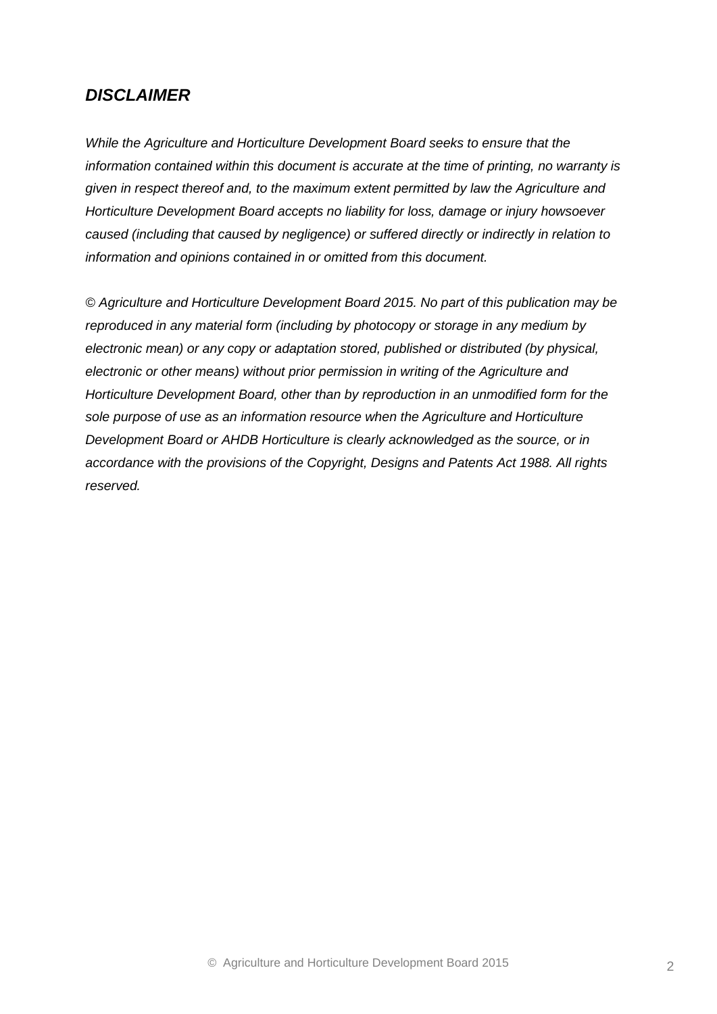## *DISCLAIMER*

*While the Agriculture and Horticulture Development Board seeks to ensure that the information contained within this document is accurate at the time of printing, no warranty is given in respect thereof and, to the maximum extent permitted by law the Agriculture and Horticulture Development Board accepts no liability for loss, damage or injury howsoever caused (including that caused by negligence) or suffered directly or indirectly in relation to information and opinions contained in or omitted from this document.*

*© Agriculture and Horticulture Development Board 2015. No part of this publication may be reproduced in any material form (including by photocopy or storage in any medium by electronic mean) or any copy or adaptation stored, published or distributed (by physical, electronic or other means) without prior permission in writing of the Agriculture and Horticulture Development Board, other than by reproduction in an unmodified form for the sole purpose of use as an information resource when the Agriculture and Horticulture Development Board or AHDB Horticulture is clearly acknowledged as the source, or in accordance with the provisions of the Copyright, Designs and Patents Act 1988. All rights reserved.*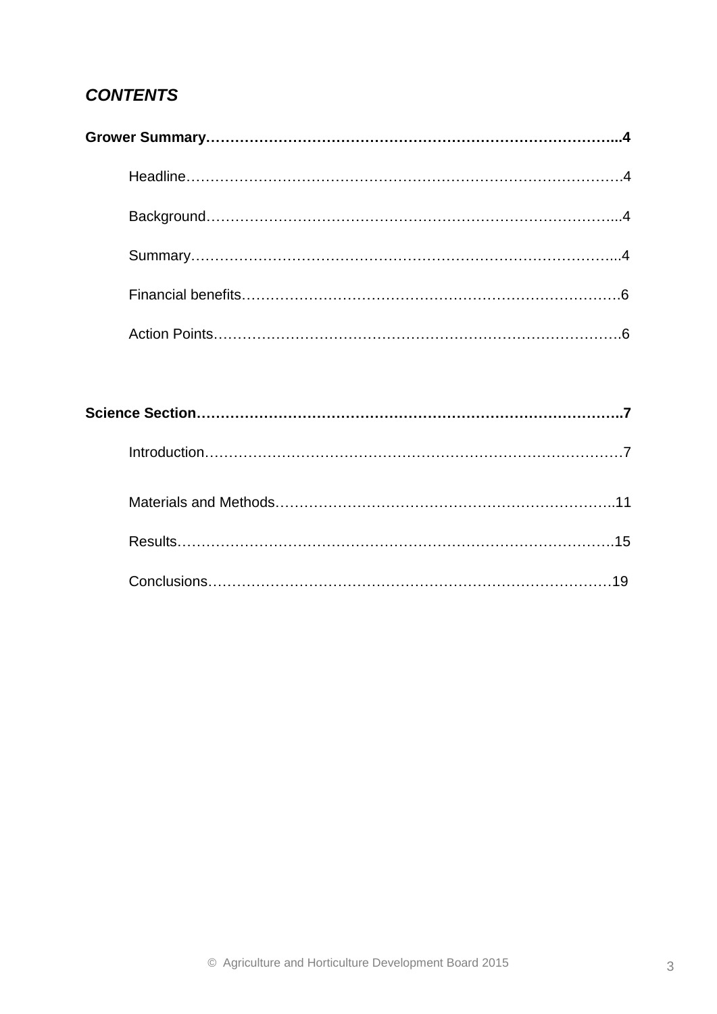# *CONTENTS*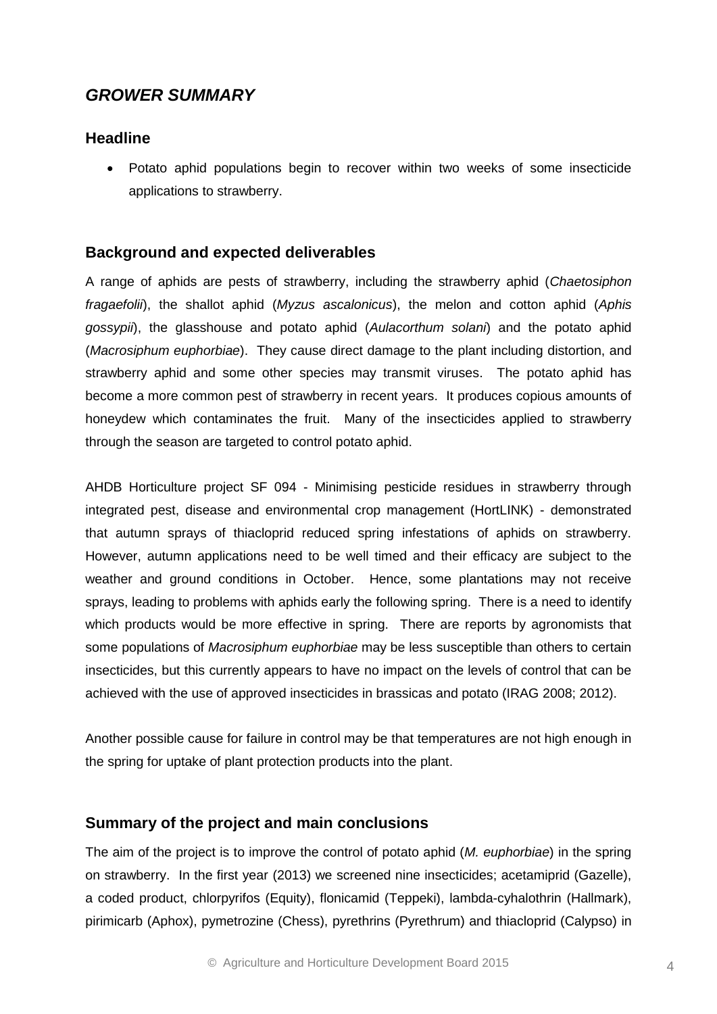## *GROWER SUMMARY*

## **Headline**

 Potato aphid populations begin to recover within two weeks of some insecticide applications to strawberry.

## **Background and expected deliverables**

A range of aphids are pests of strawberry, including the strawberry aphid (*Chaetosiphon fragaefolii*), the shallot aphid (*Myzus ascalonicus*), the melon and cotton aphid (*Aphis gossypii*), the glasshouse and potato aphid (*Aulacorthum solani*) and the potato aphid (*Macrosiphum euphorbiae*). They cause direct damage to the plant including distortion, and strawberry aphid and some other species may transmit viruses. The potato aphid has become a more common pest of strawberry in recent years. It produces copious amounts of honeydew which contaminates the fruit. Many of the insecticides applied to strawberry through the season are targeted to control potato aphid.

AHDB Horticulture project SF 094 - Minimising pesticide residues in strawberry through integrated pest, disease and environmental crop management (HortLINK) - demonstrated that autumn sprays of thiacloprid reduced spring infestations of aphids on strawberry. However, autumn applications need to be well timed and their efficacy are subject to the weather and ground conditions in October. Hence, some plantations may not receive sprays, leading to problems with aphids early the following spring. There is a need to identify which products would be more effective in spring. There are reports by agronomists that some populations of *Macrosiphum euphorbiae* may be less susceptible than others to certain insecticides, but this currently appears to have no impact on the levels of control that can be achieved with the use of approved insecticides in brassicas and potato (IRAG 2008; 2012).

Another possible cause for failure in control may be that temperatures are not high enough in the spring for uptake of plant protection products into the plant.

### **Summary of the project and main conclusions**

The aim of the project is to improve the control of potato aphid (*M. euphorbiae*) in the spring on strawberry. In the first year (2013) we screened nine insecticides; acetamiprid (Gazelle), a coded product, chlorpyrifos (Equity), flonicamid (Teppeki), lambda-cyhalothrin (Hallmark), pirimicarb (Aphox), pymetrozine (Chess), pyrethrins (Pyrethrum) and thiacloprid (Calypso) in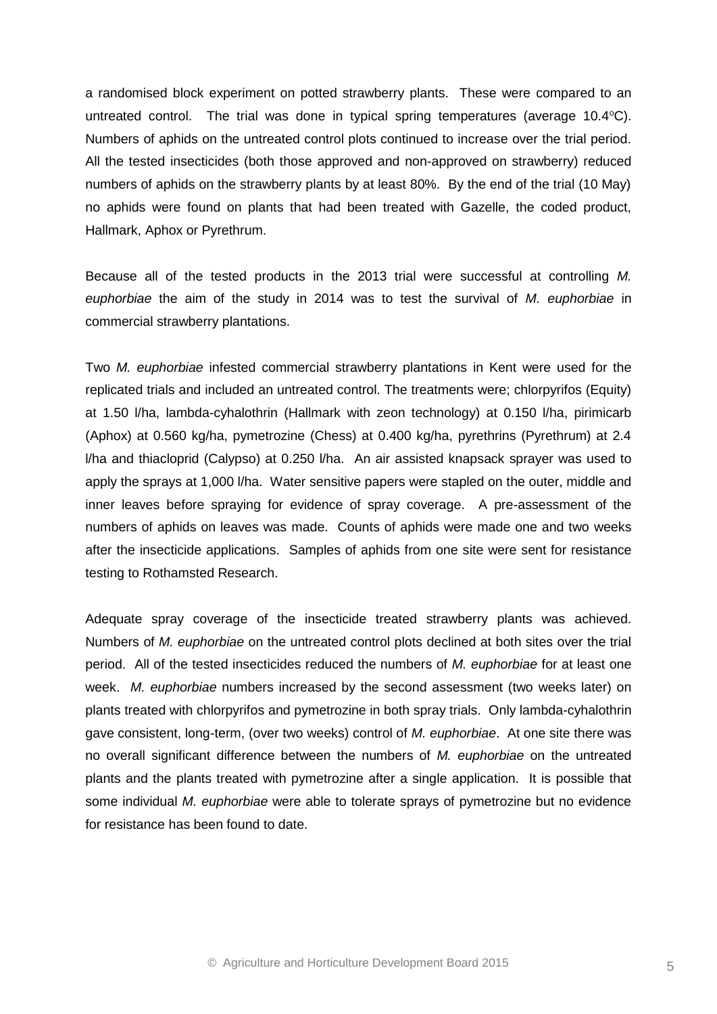a randomised block experiment on potted strawberry plants. These were compared to an untreated control. The trial was done in typical spring temperatures (average  $10.4^{\circ}$ C). Numbers of aphids on the untreated control plots continued to increase over the trial period. All the tested insecticides (both those approved and non-approved on strawberry) reduced numbers of aphids on the strawberry plants by at least 80%. By the end of the trial (10 May) no aphids were found on plants that had been treated with Gazelle, the coded product, Hallmark, Aphox or Pyrethrum.

Because all of the tested products in the 2013 trial were successful at controlling *M. euphorbiae* the aim of the study in 2014 was to test the survival of *M. euphorbiae* in commercial strawberry plantations.

Two *M. euphorbiae* infested commercial strawberry plantations in Kent were used for the replicated trials and included an untreated control. The treatments were; chlorpyrifos (Equity) at 1.50 l/ha, lambda-cyhalothrin (Hallmark with zeon technology) at 0.150 l/ha, pirimicarb (Aphox) at 0.560 kg/ha, pymetrozine (Chess) at 0.400 kg/ha, pyrethrins (Pyrethrum) at 2.4 l/ha and thiacloprid (Calypso) at 0.250 l/ha. An air assisted knapsack sprayer was used to apply the sprays at 1,000 l/ha. Water sensitive papers were stapled on the outer, middle and inner leaves before spraying for evidence of spray coverage. A pre-assessment of the numbers of aphids on leaves was made. Counts of aphids were made one and two weeks after the insecticide applications. Samples of aphids from one site were sent for resistance testing to Rothamsted Research.

Adequate spray coverage of the insecticide treated strawberry plants was achieved. Numbers of *M. euphorbiae* on the untreated control plots declined at both sites over the trial period. All of the tested insecticides reduced the numbers of *M. euphorbiae* for at least one week. *M. euphorbiae* numbers increased by the second assessment (two weeks later) on plants treated with chlorpyrifos and pymetrozine in both spray trials. Only lambda-cyhalothrin gave consistent, long-term, (over two weeks) control of *M. euphorbiae*. At one site there was no overall significant difference between the numbers of *M. euphorbiae* on the untreated plants and the plants treated with pymetrozine after a single application. It is possible that some individual *M. euphorbiae* were able to tolerate sprays of pymetrozine but no evidence for resistance has been found to date.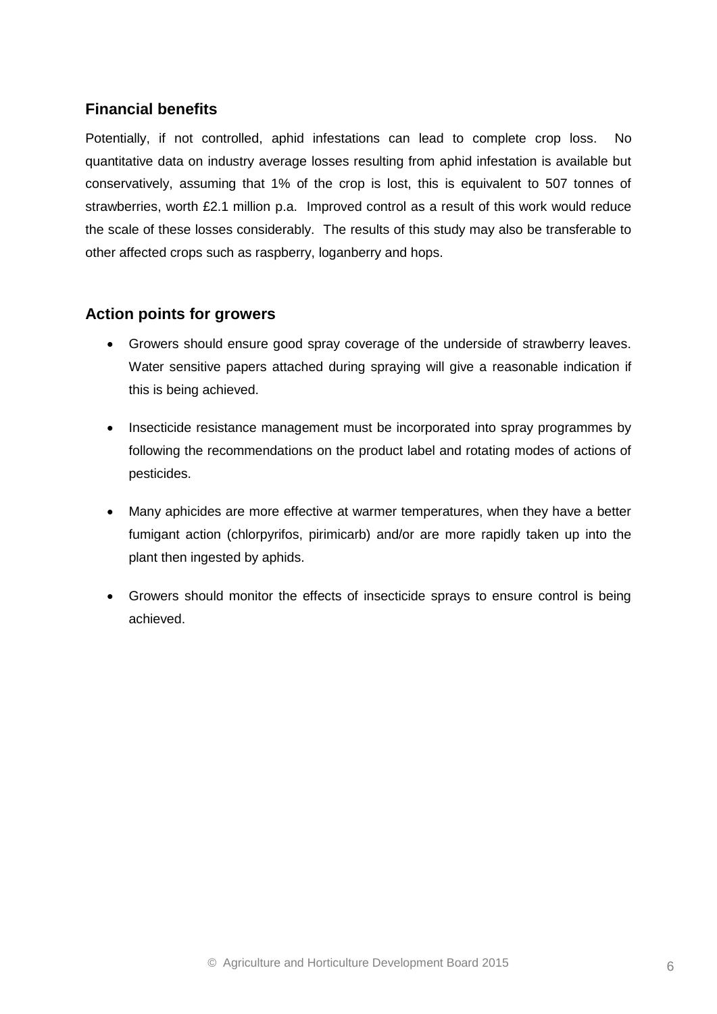## **Financial benefits**

Potentially, if not controlled, aphid infestations can lead to complete crop loss. No quantitative data on industry average losses resulting from aphid infestation is available but conservatively, assuming that 1% of the crop is lost, this is equivalent to 507 tonnes of strawberries, worth £2.1 million p.a. Improved control as a result of this work would reduce the scale of these losses considerably. The results of this study may also be transferable to other affected crops such as raspberry, loganberry and hops.

## **Action points for growers**

- Growers should ensure good spray coverage of the underside of strawberry leaves. Water sensitive papers attached during spraying will give a reasonable indication if this is being achieved.
- Insecticide resistance management must be incorporated into spray programmes by following the recommendations on the product label and rotating modes of actions of pesticides.
- Many aphicides are more effective at warmer temperatures, when they have a better fumigant action (chlorpyrifos, pirimicarb) and/or are more rapidly taken up into the plant then ingested by aphids.
- Growers should monitor the effects of insecticide sprays to ensure control is being achieved.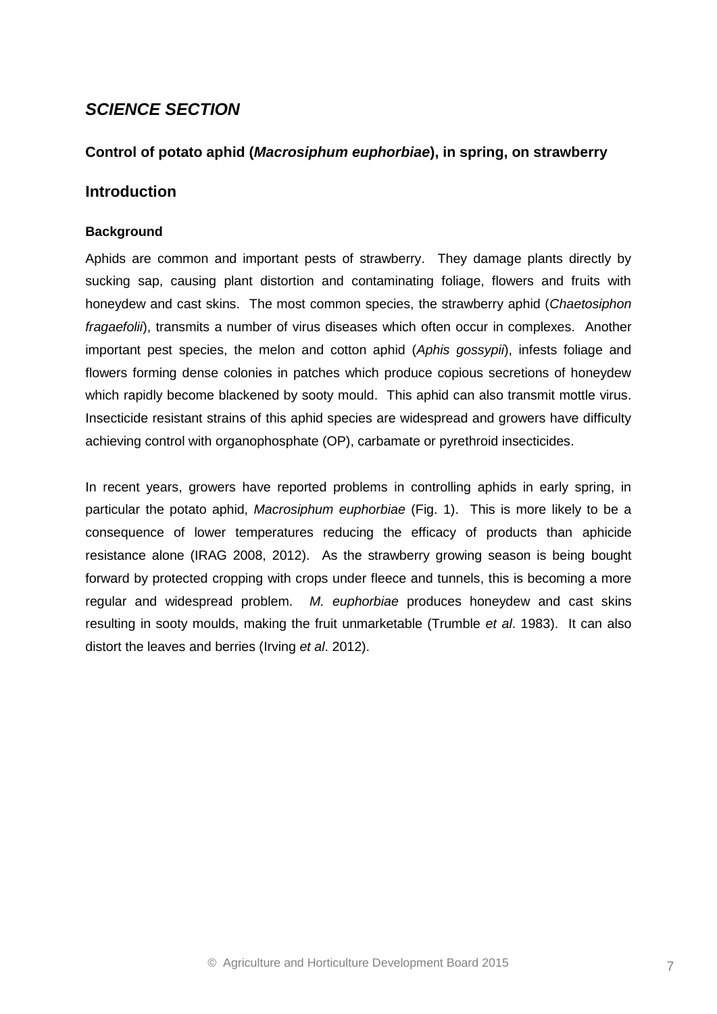## *SCIENCE SECTION*

### **Control of potato aphid (***Macrosiphum euphorbiae***), in spring, on strawberry**

### **Introduction**

#### **Background**

Aphids are common and important pests of strawberry. They damage plants directly by sucking sap, causing plant distortion and contaminating foliage, flowers and fruits with honeydew and cast skins. The most common species, the strawberry aphid (*Chaetosiphon fragaefolii*), transmits a number of virus diseases which often occur in complexes. Another important pest species, the melon and cotton aphid (*Aphis gossypii*), infests foliage and flowers forming dense colonies in patches which produce copious secretions of honeydew which rapidly become blackened by sooty mould. This aphid can also transmit mottle virus. Insecticide resistant strains of this aphid species are widespread and growers have difficulty achieving control with organophosphate (OP), carbamate or pyrethroid insecticides.

In recent years, growers have reported problems in controlling aphids in early spring, in particular the potato aphid, *Macrosiphum euphorbiae* (Fig. 1). This is more likely to be a consequence of lower temperatures reducing the efficacy of products than aphicide resistance alone (IRAG 2008, 2012). As the strawberry growing season is being bought forward by protected cropping with crops under fleece and tunnels, this is becoming a more regular and widespread problem. *M. euphorbiae* produces honeydew and cast skins resulting in sooty moulds, making the fruit unmarketable (Trumble *et al*. 1983). It can also distort the leaves and berries (Irving *et al*. 2012).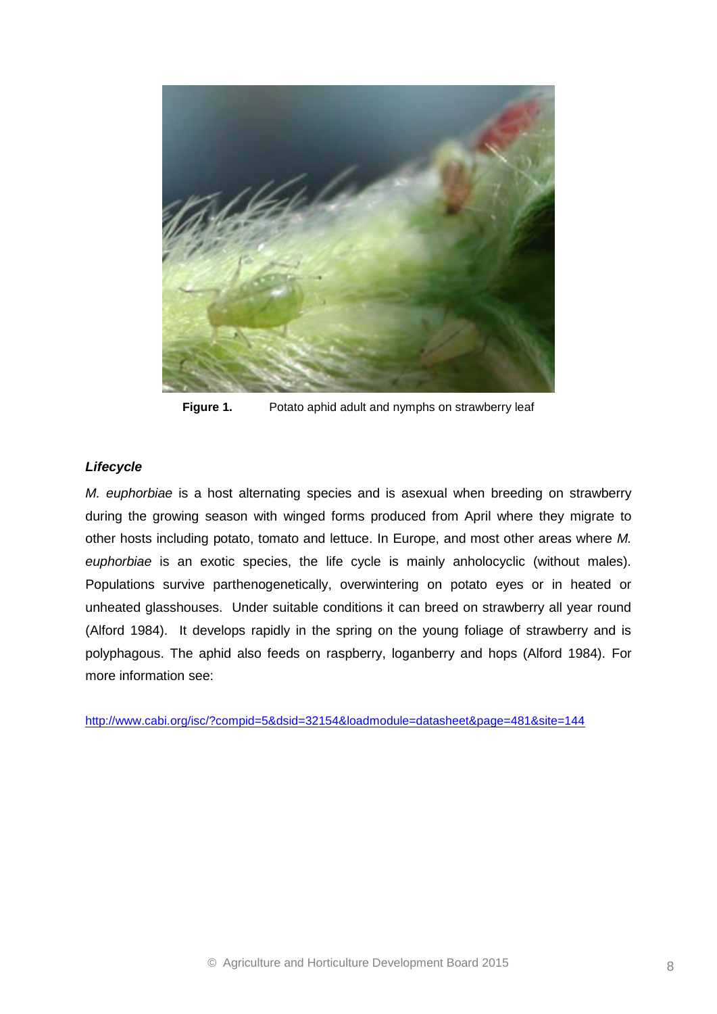

**Figure 1.** Potato aphid adult and nymphs on strawberry leaf

#### *Lifecycle*

*M. euphorbiae* is a host alternating species and is asexual when breeding on strawberry during the growing season with winged forms produced from April where they migrate to other hosts including potato, tomato and lettuce. In Europe, and most other areas where *M. euphorbiae* is an exotic species, the life cycle is mainly anholocyclic (without males). Populations survive parthenogenetically, overwintering on potato eyes or in heated or unheated glasshouses. Under suitable conditions it can breed on strawberry all year round (Alford 1984). It develops rapidly in the spring on the young foliage of strawberry and is polyphagous. The aphid also feeds on raspberry, loganberry and hops (Alford 1984). For more information see:

<http://www.cabi.org/isc/?compid=5&dsid=32154&loadmodule=datasheet&page=481&site=144>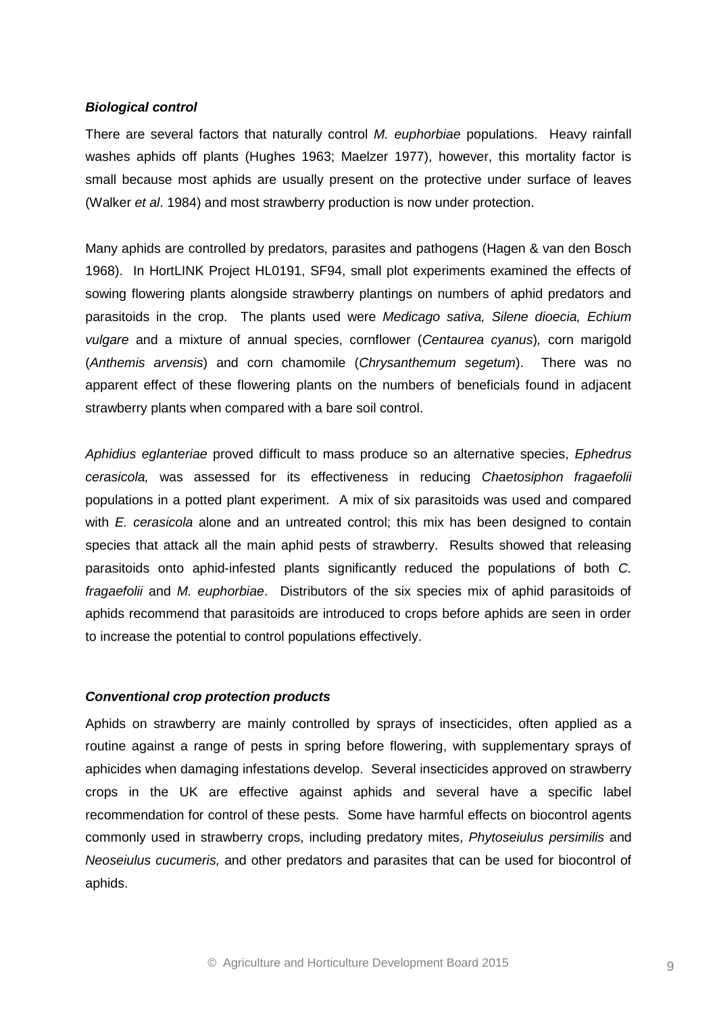#### *Biological control*

There are several factors that naturally control *M. euphorbiae* populations. Heavy rainfall washes aphids off plants (Hughes 1963; Maelzer 1977), however, this mortality factor is small because most aphids are usually present on the protective under surface of leaves (Walker *et al*. 1984) and most strawberry production is now under protection.

Many aphids are controlled by predators, parasites and pathogens (Hagen & van den Bosch 1968). In HortLINK Project HL0191, SF94, small plot experiments examined the effects of sowing flowering plants alongside strawberry plantings on numbers of aphid predators and parasitoids in the crop. The plants used were *Medicago sativa, Silene dioecia, Echium vulgare* and a mixture of annual species, cornflower (*Centaurea cyanus*)*,* corn marigold (*Anthemis arvensis*) and corn chamomile (*Chrysanthemum segetum*). There was no apparent effect of these flowering plants on the numbers of beneficials found in adjacent strawberry plants when compared with a bare soil control.

*Aphidius eglanteriae* proved difficult to mass produce so an alternative species, *Ephedrus cerasicola,* was assessed for its effectiveness in reducing *Chaetosiphon fragaefolii* populations in a potted plant experiment. A mix of six parasitoids was used and compared with *E. cerasicola* alone and an untreated control; this mix has been designed to contain species that attack all the main aphid pests of strawberry. Results showed that releasing parasitoids onto aphid-infested plants significantly reduced the populations of both *C. fragaefolii* and *M. euphorbiae*. Distributors of the six species mix of aphid parasitoids of aphids recommend that parasitoids are introduced to crops before aphids are seen in order to increase the potential to control populations effectively.

#### *Conventional crop protection products*

Aphids on strawberry are mainly controlled by sprays of insecticides, often applied as a routine against a range of pests in spring before flowering, with supplementary sprays of aphicides when damaging infestations develop. Several insecticides approved on strawberry crops in the UK are effective against aphids and several have a specific label recommendation for control of these pests. Some have harmful effects on biocontrol agents commonly used in strawberry crops, including predatory mites, *Phytoseiulus persimilis* and *Neoseiulus cucumeris,* and other predators and parasites that can be used for biocontrol of aphids.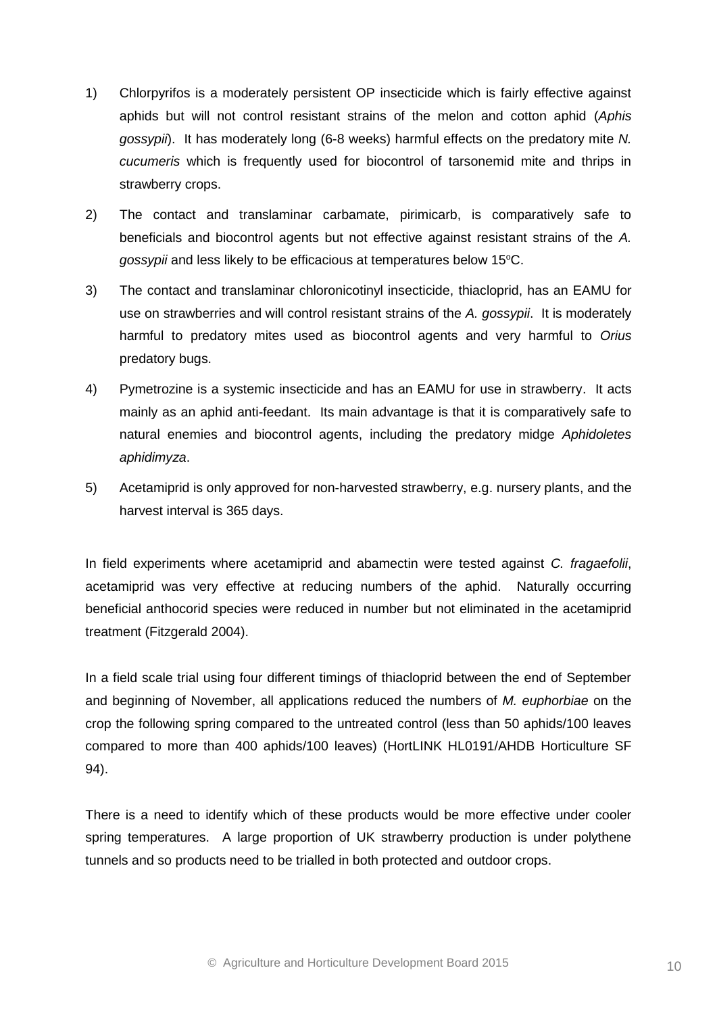- 1) Chlorpyrifos is a moderately persistent OP insecticide which is fairly effective against aphids but will not control resistant strains of the melon and cotton aphid (*Aphis gossypii*). It has moderately long (6-8 weeks) harmful effects on the predatory mite *N. cucumeris* which is frequently used for biocontrol of tarsonemid mite and thrips in strawberry crops.
- 2) The contact and translaminar carbamate, pirimicarb, is comparatively safe to beneficials and biocontrol agents but not effective against resistant strains of the *A. gossypii* and less likely to be efficacious at temperatures below 15<sup>o</sup>C.
- 3) The contact and translaminar chloronicotinyl insecticide, thiacloprid, has an EAMU for use on strawberries and will control resistant strains of the *A. gossypii*. It is moderately harmful to predatory mites used as biocontrol agents and very harmful to *Orius* predatory bugs.
- 4) Pymetrozine is a systemic insecticide and has an EAMU for use in strawberry. It acts mainly as an aphid anti-feedant. Its main advantage is that it is comparatively safe to natural enemies and biocontrol agents, including the predatory midge *Aphidoletes aphidimyza*.
- 5) Acetamiprid is only approved for non-harvested strawberry, e.g. nursery plants, and the harvest interval is 365 days.

In field experiments where acetamiprid and abamectin were tested against *C. fragaefolii*, acetamiprid was very effective at reducing numbers of the aphid. Naturally occurring beneficial anthocorid species were reduced in number but not eliminated in the acetamiprid treatment (Fitzgerald 2004).

In a field scale trial using four different timings of thiacloprid between the end of September and beginning of November, all applications reduced the numbers of *M. euphorbiae* on the crop the following spring compared to the untreated control (less than 50 aphids/100 leaves compared to more than 400 aphids/100 leaves) (HortLINK HL0191/AHDB Horticulture SF 94).

There is a need to identify which of these products would be more effective under cooler spring temperatures. A large proportion of UK strawberry production is under polythene tunnels and so products need to be trialled in both protected and outdoor crops.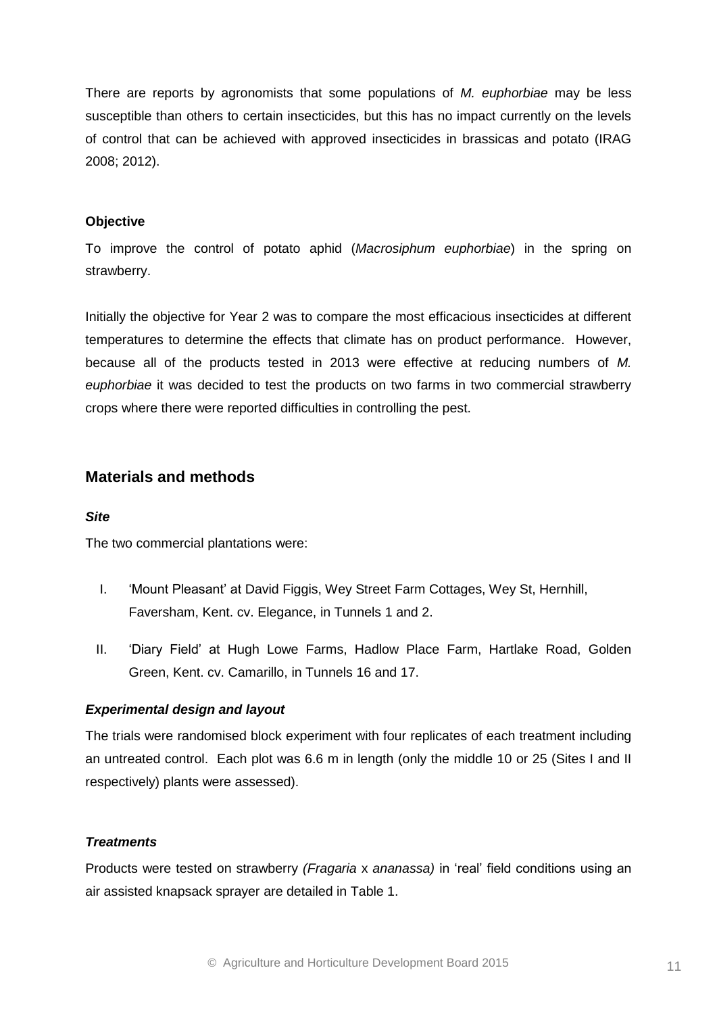There are reports by agronomists that some populations of *M. euphorbiae* may be less susceptible than others to certain insecticides, but this has no impact currently on the levels of control that can be achieved with approved insecticides in brassicas and potato (IRAG 2008; 2012).

#### **Objective**

To improve the control of potato aphid (*Macrosiphum euphorbiae*) in the spring on strawberry.

Initially the objective for Year 2 was to compare the most efficacious insecticides at different temperatures to determine the effects that climate has on product performance. However, because all of the products tested in 2013 were effective at reducing numbers of *M. euphorbiae* it was decided to test the products on two farms in two commercial strawberry crops where there were reported difficulties in controlling the pest.

#### **Materials and methods**

#### *Site*

The two commercial plantations were:

- I. 'Mount Pleasant' at David Figgis, Wey Street Farm Cottages, Wey St, Hernhill, Faversham, Kent. cv. Elegance, in Tunnels 1 and 2.
- II. 'Diary Field' at Hugh Lowe Farms, Hadlow Place Farm, Hartlake Road, Golden Green, Kent. cv. Camarillo, in Tunnels 16 and 17.

#### *Experimental design and layout*

The trials were randomised block experiment with four replicates of each treatment including an untreated control. Each plot was 6.6 m in length (only the middle 10 or 25 (Sites I and II respectively) plants were assessed).

#### *Treatments*

Products were tested on strawberry *(Fragaria* x *ananassa)* in 'real' field conditions using an air assisted knapsack sprayer are detailed in Table 1.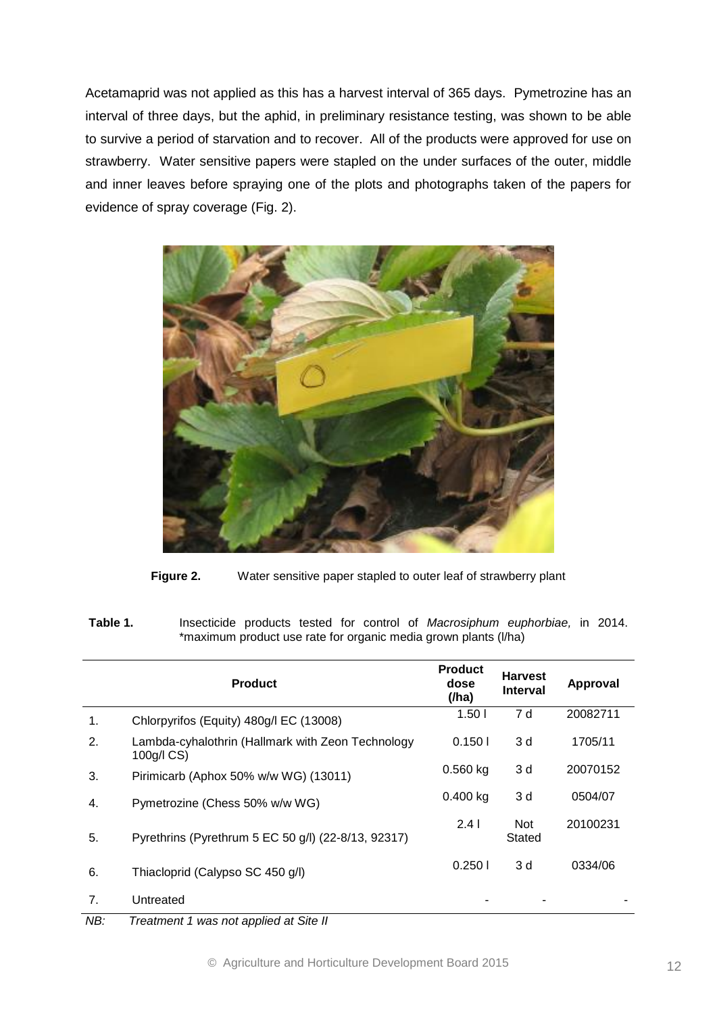Acetamaprid was not applied as this has a harvest interval of 365 days. Pymetrozine has an interval of three days, but the aphid, in preliminary resistance testing, was shown to be able to survive a period of starvation and to recover. All of the products were approved for use on strawberry. Water sensitive papers were stapled on the under surfaces of the outer, middle and inner leaves before spraying one of the plots and photographs taken of the papers for evidence of spray coverage (Fig. 2).



Figure 2. Water sensitive paper stapled to outer leaf of strawberry plant

**Table 1.** Insecticide products tested for control of *Macrosiphum euphorbiae,* in 2014. \*maximum product use rate for organic media grown plants (l/ha)

|    | <b>Product</b>                                                  | <b>Product</b><br>dose<br>(/ha) | <b>Harvest</b><br><b>Interval</b> | Approval |
|----|-----------------------------------------------------------------|---------------------------------|-----------------------------------|----------|
| 1. | Chlorpyrifos (Equity) 480g/l EC (13008)                         | 1.50 <sub>1</sub>               | 7 d                               | 20082711 |
| 2. | Lambda-cyhalothrin (Hallmark with Zeon Technology<br>100g/l CS) | 0.1501                          | 3 d                               | 1705/11  |
| 3. | Pirimicarb (Aphox 50% w/w WG) (13011)                           | $0.560$ kg                      | 3 d                               | 20070152 |
| 4. | Pymetrozine (Chess 50% w/w WG)                                  | $0.400$ kg                      | 3 d                               | 0504/07  |
| 5. | Pyrethrins (Pyrethrum 5 EC 50 g/l) (22-8/13, 92317)             | 2.41                            | <b>Not</b><br>Stated              | 20100231 |
| 6. | Thiacloprid (Calypso SC 450 g/l)                                | 0.2501                          | 3 d                               | 0334/06  |
| 7. | Untreated                                                       |                                 |                                   |          |

*NB: Treatment 1 was not applied at Site II*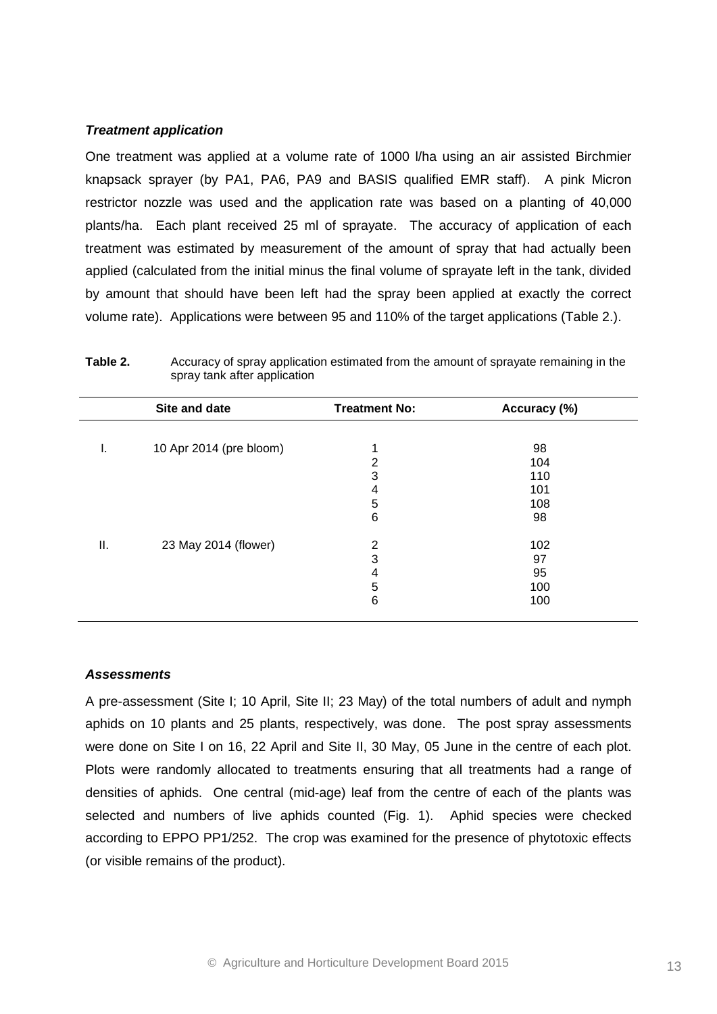#### *Treatment application*

One treatment was applied at a volume rate of 1000 l/ha using an air assisted Birchmier knapsack sprayer (by PA1, PA6, PA9 and BASIS qualified EMR staff). A pink Micron restrictor nozzle was used and the application rate was based on a planting of 40,000 plants/ha. Each plant received 25 ml of sprayate. The accuracy of application of each treatment was estimated by measurement of the amount of spray that had actually been applied (calculated from the initial minus the final volume of sprayate left in the tank, divided by amount that should have been left had the spray been applied at exactly the correct volume rate). Applications were between 95 and 110% of the target applications (Table 2.).

|    | Site and date           | <b>Treatment No:</b> | Accuracy (%) |
|----|-------------------------|----------------------|--------------|
| ъ. | 10 Apr 2014 (pre bloom) |                      | 98           |
|    |                         | 2                    | 104          |
|    |                         | 3                    | 110          |
|    |                         | 4                    | 101          |
|    |                         | 5                    | 108          |
|    |                         | 6                    | 98           |
| Ш. | 23 May 2014 (flower)    | 2                    | 102          |
|    |                         | 3                    | 97           |
|    |                         | 4                    | 95           |
|    |                         | 5                    | 100          |
|    |                         | 6                    | 100          |

| Table 2. | Accuracy of spray application estimated from the amount of sprayate remaining in the |
|----------|--------------------------------------------------------------------------------------|
|          | spray tank after application                                                         |

#### *Assessments*

A pre-assessment (Site I; 10 April, Site II; 23 May) of the total numbers of adult and nymph aphids on 10 plants and 25 plants, respectively, was done. The post spray assessments were done on Site I on 16, 22 April and Site II, 30 May, 05 June in the centre of each plot. Plots were randomly allocated to treatments ensuring that all treatments had a range of densities of aphids. One central (mid-age) leaf from the centre of each of the plants was selected and numbers of live aphids counted (Fig. 1). Aphid species were checked according to EPPO PP1/252. The crop was examined for the presence of phytotoxic effects (or visible remains of the product).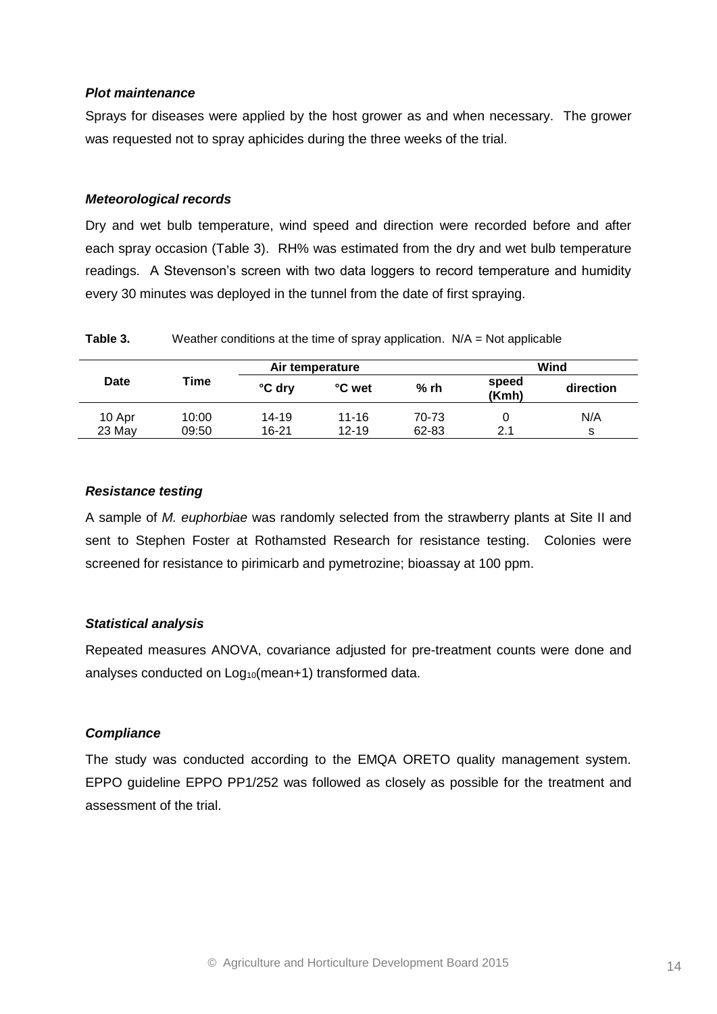#### *Plot maintenance*

Sprays for diseases were applied by the host grower as and when necessary. The grower was requested not to spray aphicides during the three weeks of the trial.

#### *Meteorological records*

Dry and wet bulb temperature, wind speed and direction were recorded before and after each spray occasion (Table 3). RH% was estimated from the dry and wet bulb temperature readings. A Stevenson's screen with two data loggers to record temperature and humidity every 30 minutes was deployed in the tunnel from the date of first spraying.

**Table 3.** Weather conditions at the time of spray application. N/A = Not applicable

|             | Air temperature |        |           |        |                | Wind      |  |
|-------------|-----------------|--------|-----------|--------|----------------|-----------|--|
| <b>Date</b> | Time            | °C dry | °C wet    | $%$ rh | speed<br>(Kmh) | direction |  |
| 10 Apr      | 10:00           | 14-19  | $11 - 16$ | 70-73  |                | N/A       |  |
| 23 May      | 09:50           | 16-21  | $12 - 19$ | 62-83  | 2.1            | s         |  |

#### *Resistance testing*

A sample of *M. euphorbiae* was randomly selected from the strawberry plants at Site II and sent to Stephen Foster at Rothamsted Research for resistance testing. Colonies were screened for resistance to pirimicarb and pymetrozine; bioassay at 100 ppm.

#### *Statistical analysis*

Repeated measures ANOVA, covariance adjusted for pre-treatment counts were done and analyses conducted on  $Log_{10}(mean+1)$  transformed data.

#### *Compliance*

The study was conducted according to the EMQA ORETO quality management system. EPPO guideline EPPO PP1/252 was followed as closely as possible for the treatment and assessment of the trial.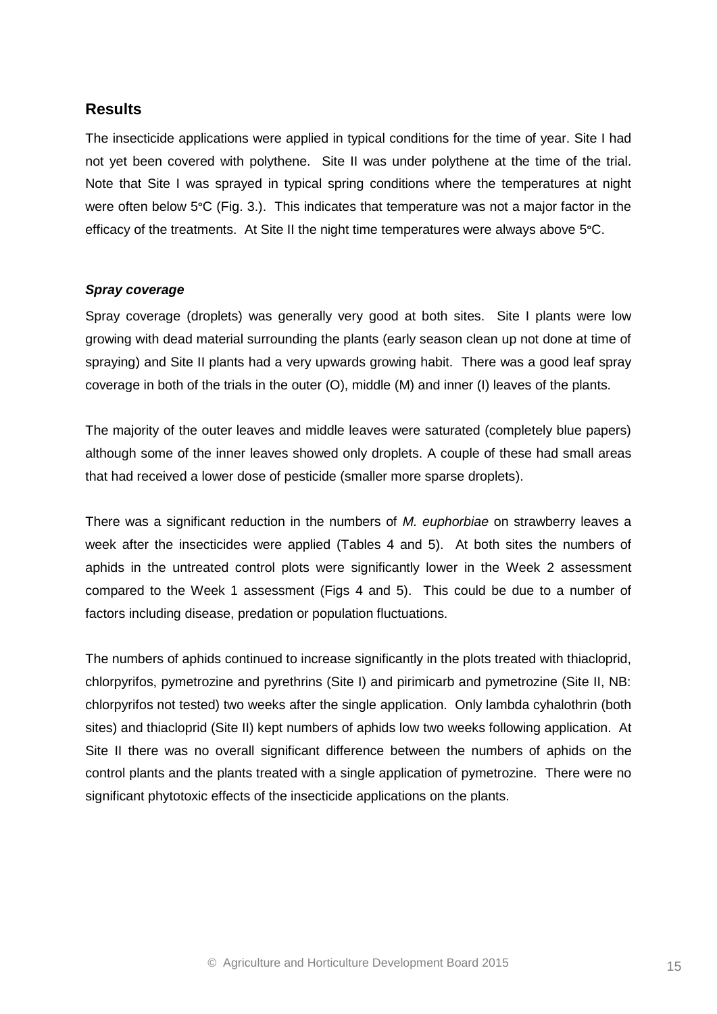## **Results**

The insecticide applications were applied in typical conditions for the time of year. Site I had not yet been covered with polythene. Site II was under polythene at the time of the trial. Note that Site I was sprayed in typical spring conditions where the temperatures at night were often below 5**°**C (Fig. 3.). This indicates that temperature was not a major factor in the efficacy of the treatments. At Site II the night time temperatures were always above 5**°**C.

#### *Spray coverage*

Spray coverage (droplets) was generally very good at both sites. Site I plants were low growing with dead material surrounding the plants (early season clean up not done at time of spraying) and Site II plants had a very upwards growing habit. There was a good leaf spray coverage in both of the trials in the outer (O), middle (M) and inner (I) leaves of the plants.

The majority of the outer leaves and middle leaves were saturated (completely blue papers) although some of the inner leaves showed only droplets. A couple of these had small areas that had received a lower dose of pesticide (smaller more sparse droplets).

There was a significant reduction in the numbers of *M. euphorbiae* on strawberry leaves a week after the insecticides were applied (Tables 4 and 5). At both sites the numbers of aphids in the untreated control plots were significantly lower in the Week 2 assessment compared to the Week 1 assessment (Figs 4 and 5). This could be due to a number of factors including disease, predation or population fluctuations.

The numbers of aphids continued to increase significantly in the plots treated with thiacloprid, chlorpyrifos, pymetrozine and pyrethrins (Site I) and pirimicarb and pymetrozine (Site II, NB: chlorpyrifos not tested) two weeks after the single application. Only lambda cyhalothrin (both sites) and thiacloprid (Site II) kept numbers of aphids low two weeks following application. At Site II there was no overall significant difference between the numbers of aphids on the control plants and the plants treated with a single application of pymetrozine. There were no significant phytotoxic effects of the insecticide applications on the plants.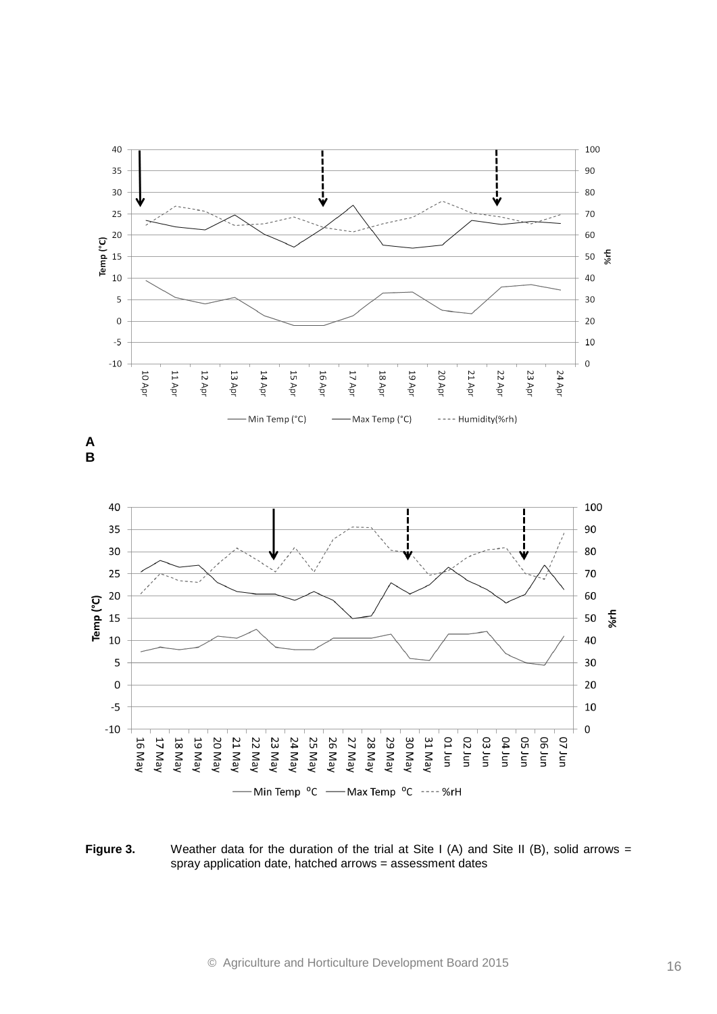



**Figure 3.** Weather data for the duration of the trial at Site I (A) and Site II (B), solid arrows = spray application date, hatched arrows = assessment dates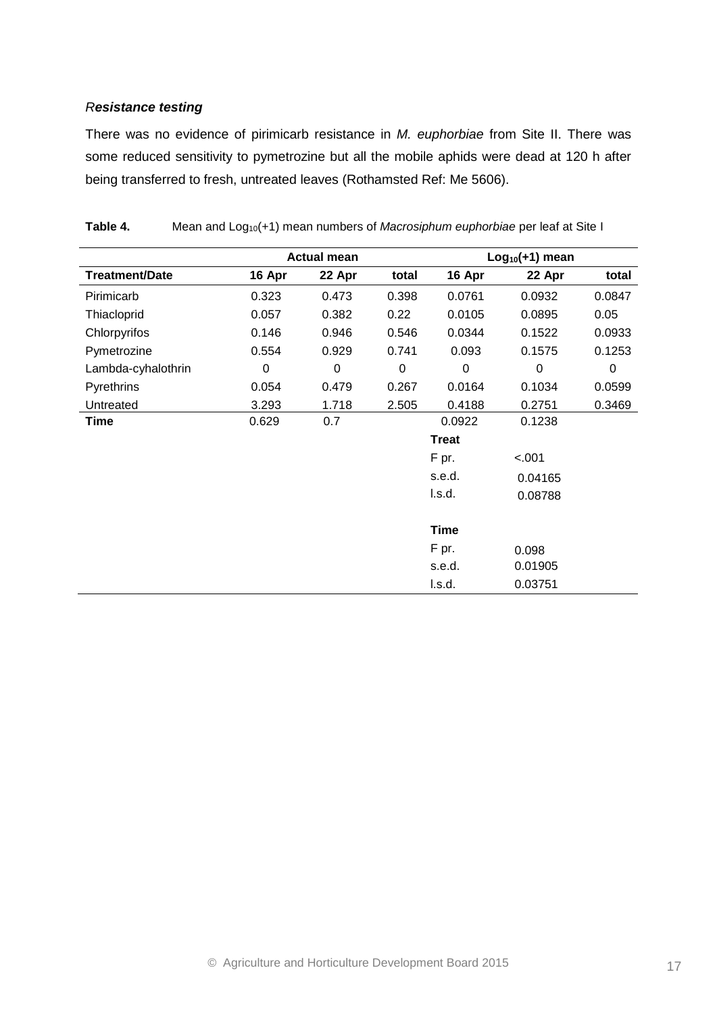#### *Resistance testing*

There was no evidence of pirimicarb resistance in *M. euphorbiae* from Site II. There was some reduced sensitivity to pymetrozine but all the mobile aphids were dead at 120 h after being transferred to fresh, untreated leaves (Rothamsted Ref: Me 5606).

|                       | <b>Actual mean</b> |             |             |              | $Log10(+1)$ mean |        |
|-----------------------|--------------------|-------------|-------------|--------------|------------------|--------|
| <b>Treatment/Date</b> | 16 Apr             | 22 Apr      | total       | 16 Apr       | 22 Apr           | total  |
| Pirimicarb            | 0.323              | 0.473       | 0.398       | 0.0761       | 0.0932           | 0.0847 |
| Thiacloprid           | 0.057              | 0.382       | 0.22        | 0.0105       | 0.0895           | 0.05   |
| Chlorpyrifos          | 0.146              | 0.946       | 0.546       | 0.0344       | 0.1522           | 0.0933 |
| Pymetrozine           | 0.554              | 0.929       | 0.741       | 0.093        | 0.1575           | 0.1253 |
| Lambda-cyhalothrin    | $\mathbf 0$        | $\mathbf 0$ | $\mathbf 0$ | $\mathbf 0$  | 0                | 0      |
| Pyrethrins            | 0.054              | 0.479       | 0.267       | 0.0164       | 0.1034           | 0.0599 |
| Untreated             | 3.293              | 1.718       | 2.505       | 0.4188       | 0.2751           | 0.3469 |
| <b>Time</b>           | 0.629              | 0.7         |             | 0.0922       | 0.1238           |        |
|                       |                    |             |             | <b>Treat</b> |                  |        |
|                       |                    |             |             | F pr.        | $-.001$          |        |
|                       |                    |             |             | s.e.d.       | 0.04165          |        |
|                       |                    |             |             | l.s.d.       | 0.08788          |        |
|                       |                    |             |             |              |                  |        |
|                       |                    |             |             | <b>Time</b>  |                  |        |
|                       |                    |             |             | F pr.        | 0.098            |        |
|                       |                    |             |             | s.e.d.       | 0.01905          |        |
|                       |                    |             |             | l.s.d.       | 0.03751          |        |

Table 4. Mean and Log<sub>10</sub>(+1) mean numbers of *Macrosiphum euphorbiae* per leaf at Site I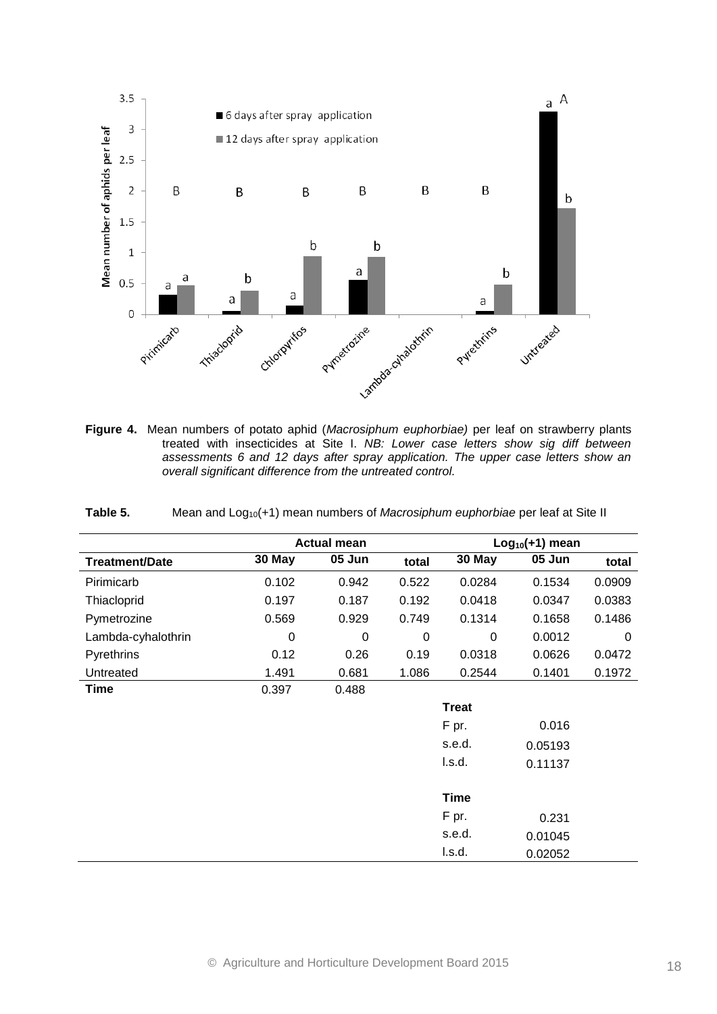

treated with insecticides at Site I. *NB: Lower case letters show sig diff between assessments 6 and 12 days after spray application. The upper case letters show an overall significant difference from the untreated control.*

| Table 5. |  |  | Mean and Log <sub>10</sub> (+1) mean numbers of <i>Macrosiphum euphorbiae</i> per leaf at Site II |  |
|----------|--|--|---------------------------------------------------------------------------------------------------|--|
|----------|--|--|---------------------------------------------------------------------------------------------------|--|

|                       | <b>Actual mean</b><br>$Log10(+1)$ mean |             |       |              |         |        |
|-----------------------|----------------------------------------|-------------|-------|--------------|---------|--------|
| <b>Treatment/Date</b> | 30 May                                 | 05 Jun      | total | 30 May       | 05 Jun  | total  |
| Pirimicarb            | 0.102                                  | 0.942       | 0.522 | 0.0284       | 0.1534  | 0.0909 |
| Thiacloprid           | 0.197                                  | 0.187       | 0.192 | 0.0418       | 0.0347  | 0.0383 |
| Pymetrozine           | 0.569                                  | 0.929       | 0.749 | 0.1314       | 0.1658  | 0.1486 |
| Lambda-cyhalothrin    | $\mathbf 0$                            | $\mathbf 0$ | 0     | 0            | 0.0012  | 0      |
| Pyrethrins            | 0.12                                   | 0.26        | 0.19  | 0.0318       | 0.0626  | 0.0472 |
| Untreated             | 1.491                                  | 0.681       | 1.086 | 0.2544       | 0.1401  | 0.1972 |
| Time                  | 0.397                                  | 0.488       |       |              |         |        |
|                       |                                        |             |       | <b>Treat</b> |         |        |
|                       |                                        |             |       | F pr.        | 0.016   |        |
|                       |                                        |             |       | s.e.d.       | 0.05193 |        |
|                       |                                        |             |       | l.s.d.       | 0.11137 |        |
|                       |                                        |             |       |              |         |        |
|                       |                                        |             |       | <b>Time</b>  |         |        |
|                       |                                        |             |       | F pr.        | 0.231   |        |
|                       |                                        |             |       | s.e.d.       | 0.01045 |        |
|                       |                                        |             |       | l.s.d.       | 0.02052 |        |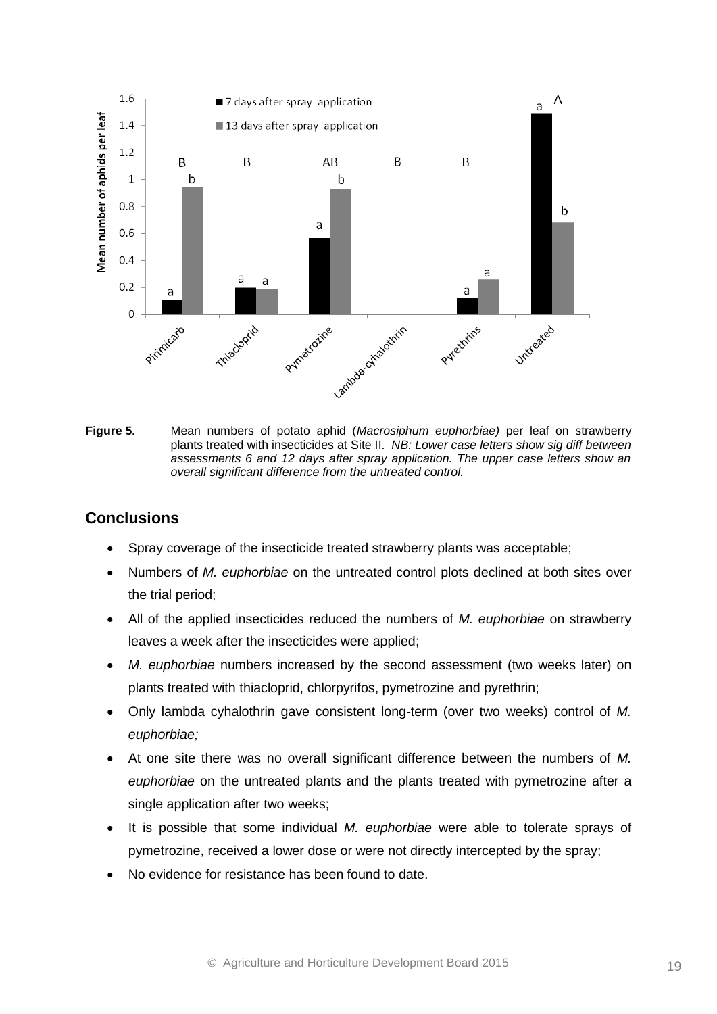

**Figure 5.** Mean numbers of potato aphid (*Macrosiphum euphorbiae)* per leaf on strawberry plants treated with insecticides at Site II. *NB: Lower case letters show sig diff between assessments 6 and 12 days after spray application. The upper case letters show an overall significant difference from the untreated control.*

## **Conclusions**

- Spray coverage of the insecticide treated strawberry plants was acceptable;
- Numbers of *M. euphorbiae* on the untreated control plots declined at both sites over the trial period;
- All of the applied insecticides reduced the numbers of *M. euphorbiae* on strawberry leaves a week after the insecticides were applied;
- *M. euphorbiae* numbers increased by the second assessment (two weeks later) on plants treated with thiacloprid, chlorpyrifos, pymetrozine and pyrethrin;
- Only lambda cyhalothrin gave consistent long-term (over two weeks) control of *M. euphorbiae;*
- At one site there was no overall significant difference between the numbers of *M. euphorbiae* on the untreated plants and the plants treated with pymetrozine after a single application after two weeks;
- It is possible that some individual *M. euphorbiae* were able to tolerate sprays of pymetrozine, received a lower dose or were not directly intercepted by the spray;
- No evidence for resistance has been found to date.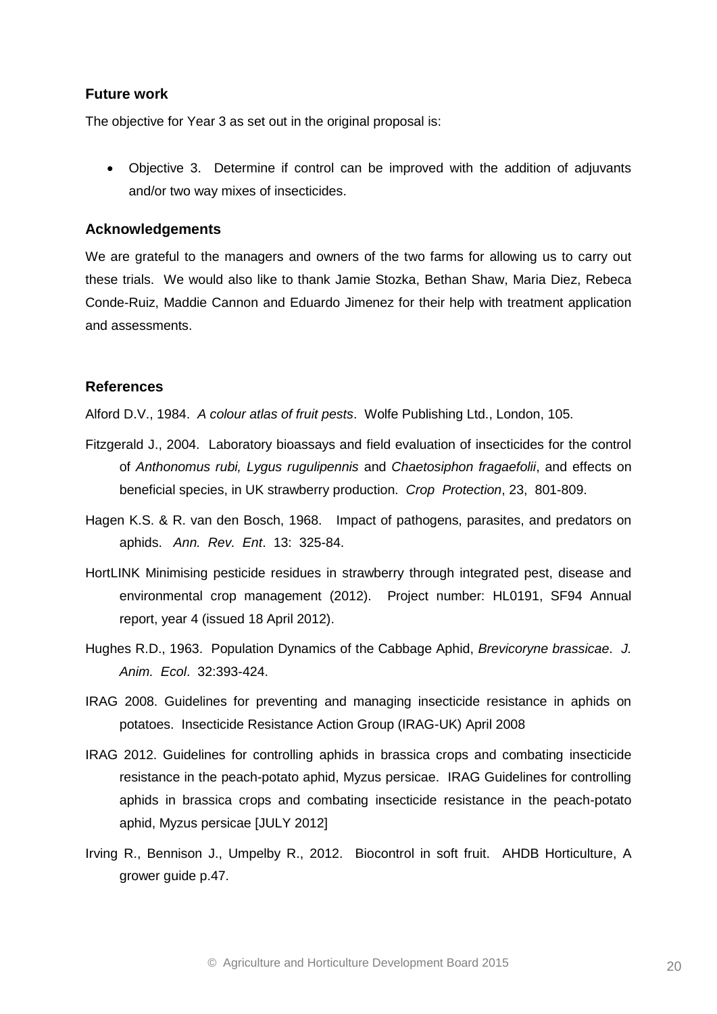#### **Future work**

The objective for Year 3 as set out in the original proposal is:

 Objective 3. Determine if control can be improved with the addition of adjuvants and/or two way mixes of insecticides.

#### **Acknowledgements**

We are grateful to the managers and owners of the two farms for allowing us to carry out these trials. We would also like to thank Jamie Stozka, Bethan Shaw, Maria Diez, Rebeca Conde-Ruiz, Maddie Cannon and Eduardo Jimenez for their help with treatment application and assessments.

#### **References**

Alford D.V., 1984. *A colour atlas of fruit pests*. Wolfe Publishing Ltd., London, 105.

- Fitzgerald J., 2004. Laboratory bioassays and field evaluation of insecticides for the control of *Anthonomus rubi, Lygus rugulipennis* and *Chaetosiphon fragaefolii*, and effects on beneficial species, in UK strawberry production. *Crop Protection*, 23, 801-809.
- Hagen K.S. & R. van den Bosch, 1968. Impact of pathogens, parasites, and predators on aphids. *Ann. Rev. Ent*. 13: 325-84.
- HortLINK Minimising pesticide residues in strawberry through integrated pest, disease and environmental crop management (2012). Project number: HL0191, SF94 Annual report, year 4 (issued 18 April 2012).
- Hughes R.D., 1963. Population Dynamics of the Cabbage Aphid, *Brevicoryne brassicae*. *J. Anim. Ecol*. 32:393-424.
- IRAG 2008. Guidelines for preventing and managing insecticide resistance in aphids on potatoes. Insecticide Resistance Action Group (IRAG-UK) April 2008
- IRAG 2012. Guidelines for controlling aphids in brassica crops and combating insecticide resistance in the peach-potato aphid, Myzus persicae. IRAG Guidelines for controlling aphids in brassica crops and combating insecticide resistance in the peach-potato aphid, Myzus persicae [JULY 2012]
- Irving R., Bennison J., Umpelby R., 2012. Biocontrol in soft fruit. AHDB Horticulture, A grower guide p.47.